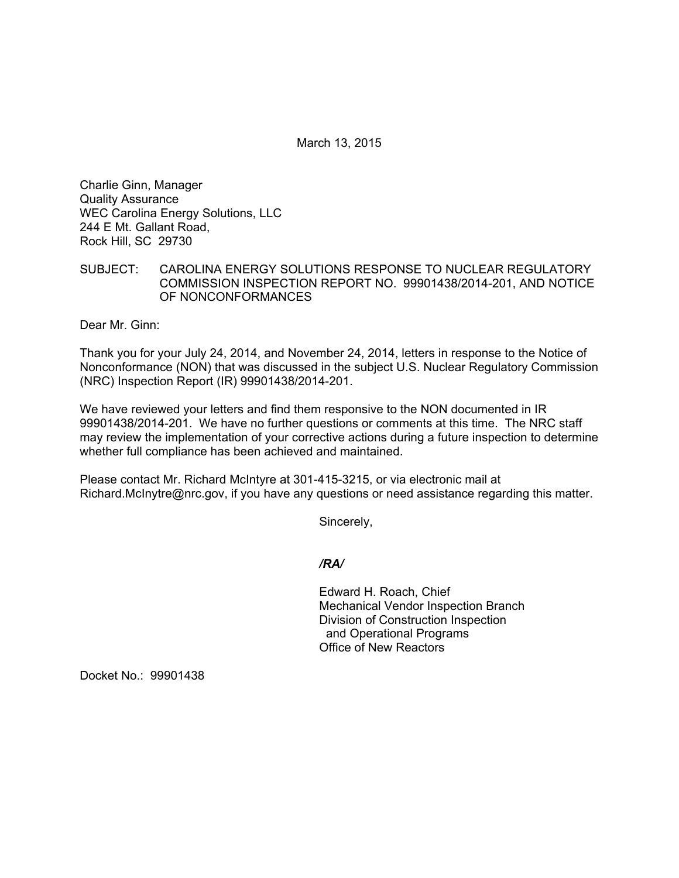March 13, 2015

Charlie Ginn, Manager Quality Assurance WEC Carolina Energy Solutions, LLC 244 E Mt. Gallant Road, Rock Hill, SC 29730

## SUBJECT: CAROLINA ENERGY SOLUTIONS RESPONSE TO NUCLEAR REGULATORY COMMISSION INSPECTION REPORT NO. 99901438/2014-201, AND NOTICE OF NONCONFORMANCES

Dear Mr. Ginn:

Thank you for your July 24, 2014, and November 24, 2014, letters in response to the Notice of Nonconformance (NON) that was discussed in the subject U.S. Nuclear Regulatory Commission (NRC) Inspection Report (IR) 99901438/2014-201.

We have reviewed your letters and find them responsive to the NON documented in IR 99901438/2014-201. We have no further questions or comments at this time. The NRC staff may review the implementation of your corrective actions during a future inspection to determine whether full compliance has been achieved and maintained.

Please contact Mr. Richard McIntyre at 301-415-3215, or via electronic mail at Richard.McInytre@nrc.gov, if you have any questions or need assistance regarding this matter.

Sincerely,

## */RA/*

Edward H. Roach, Chief Mechanical Vendor Inspection Branch Division of Construction Inspection and Operational Programs Office of New Reactors

Docket No.: 99901438